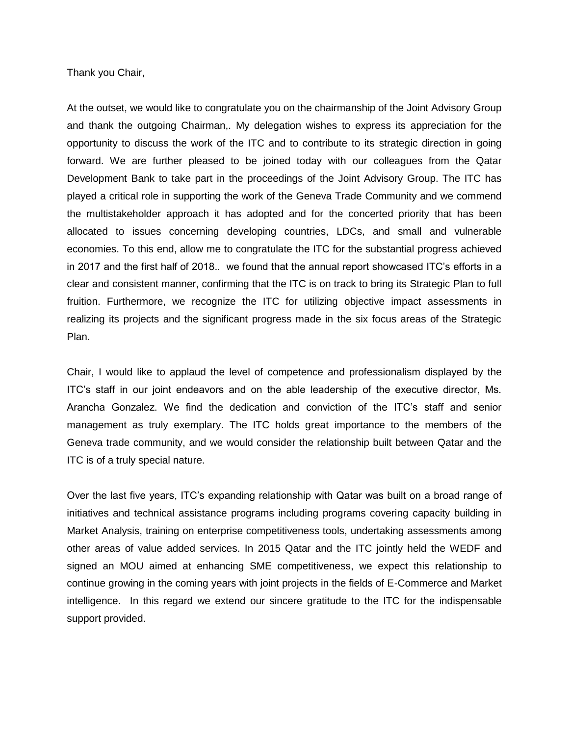Thank you Chair,

At the outset, we would like to congratulate you on the chairmanship of the Joint Advisory Group and thank the outgoing Chairman,. My delegation wishes to express its appreciation for the opportunity to discuss the work of the ITC and to contribute to its strategic direction in going forward. We are further pleased to be joined today with our colleagues from the Qatar Development Bank to take part in the proceedings of the Joint Advisory Group. The ITC has played a critical role in supporting the work of the Geneva Trade Community and we commend the multistakeholder approach it has adopted and for the concerted priority that has been allocated to issues concerning developing countries, LDCs, and small and vulnerable economies. To this end, allow me to congratulate the ITC for the substantial progress achieved in 2017 and the first half of 2018.. we found that the annual report showcased ITC's efforts in a clear and consistent manner, confirming that the ITC is on track to bring its Strategic Plan to full fruition. Furthermore, we recognize the ITC for utilizing objective impact assessments in realizing its projects and the significant progress made in the six focus areas of the Strategic Plan.

Chair, I would like to applaud the level of competence and professionalism displayed by the ITC's staff in our joint endeavors and on the able leadership of the executive director, Ms. Arancha Gonzalez. We find the dedication and conviction of the ITC's staff and senior management as truly exemplary. The ITC holds great importance to the members of the Geneva trade community, and we would consider the relationship built between Qatar and the ITC is of a truly special nature.

Over the last five years, ITC's expanding relationship with Qatar was built on a broad range of initiatives and technical assistance programs including programs covering capacity building in Market Analysis, training on enterprise competitiveness tools, undertaking assessments among other areas of value added services. In 2015 Qatar and the ITC jointly held the WEDF and signed an MOU aimed at enhancing SME competitiveness, we expect this relationship to continue growing in the coming years with joint projects in the fields of E-Commerce and Market intelligence. In this regard we extend our sincere gratitude to the ITC for the indispensable support provided.